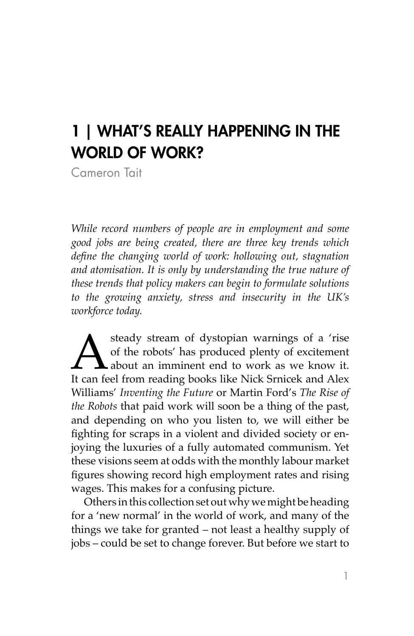# 1 | WHAT'S REALLY HAPPENING IN THE WORLD OF WORK?

Cameron Tait

*While record numbers of people are in employment and some good jobs are being created, there are three key trends which define the changing world of work: hollowing out, stagnation and atomisation. It is only by understanding the true nature of these trends that policy makers can begin to formulate solutions to the growing anxiety, stress and insecurity in the UK's workforce today.* 

steady stream of dystopian warnings of a 'rise<br>of the robots' has produced plenty of excitement<br>about an imminent end to work as we know it.<br>It can feel from reading books like Nick Srnicek and Alex of the robots' has produced plenty of excitement about an imminent end to work as we know it. It can feel from reading books like Nick Srnicek and Alex Williams' *Inventing the Future* or Martin Ford's *The Rise of the Robots* that paid work will soon be a thing of the past, and depending on who you listen to, we will either be fighting for scraps in a violent and divided society or enjoying the luxuries of a fully automated communism. Yet these visions seem at odds with the monthly labour market figures showing record high employment rates and rising wages. This makes for a confusing picture.

Others in this collection set out why we might be heading for a 'new normal' in the world of work, and many of the things we take for granted – not least a healthy supply of jobs – could be set to change forever. But before we start to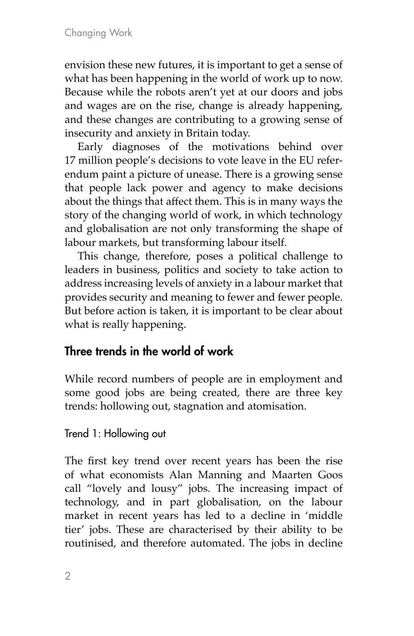envision these new futures, it is important to get a sense of what has been happening in the world of work up to now. Because while the robots aren't yet at our doors and jobs and wages are on the rise, change is already happening, and these changes are contributing to a growing sense of insecurity and anxiety in Britain today.

Early diagnoses of the motivations behind over 17 million people's decisions to vote leave in the EU referendum paint a picture of unease. There is a growing sense that people lack power and agency to make decisions about the things that affect them. This is in many ways the story of the changing world of work, in which technology and globalisation are not only transforming the shape of labour markets, but transforming labour itself.

This change, therefore, poses a political challenge to leaders in business, politics and society to take action to address increasing levels of anxiety in a labour market that provides security and meaning to fewer and fewer people. But before action is taken, it is important to be clear about what is really happening.

## Three trends in the world of work

While record numbers of people are in employment and some good jobs are being created, there are three key trends: hollowing out, stagnation and atomisation.

Trend 1: Hollowing out

The first key trend over recent years has been the rise of what economists Alan Manning and Maarten Goos call "lovely and lousy" jobs. The increasing impact of technology, and in part globalisation, on the labour market in recent years has led to a decline in 'middle tier' jobs. These are characterised by their ability to be routinised, and therefore automated. The jobs in decline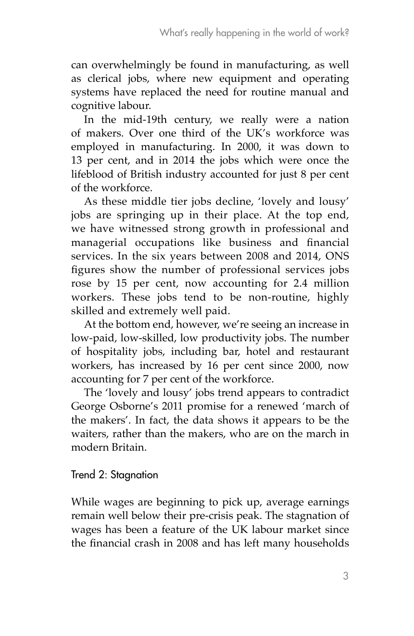can overwhelmingly be found in manufacturing, as well as clerical jobs, where new equipment and operating systems have replaced the need for routine manual and cognitive labour.

In the mid-19th century, we really were a nation of makers. Over one third of the UK's workforce was employed in manufacturing. In 2000, it was down to 13 per cent, and in 2014 the jobs which were once the lifeblood of British industry accounted for just 8 per cent of the workforce.

As these middle tier jobs decline, 'lovely and lousy' jobs are springing up in their place. At the top end, we have witnessed strong growth in professional and managerial occupations like business and financial services. In the six years between 2008 and 2014, ONS figures show the number of professional services jobs rose by 15 per cent, now accounting for 2.4 million workers. These jobs tend to be non-routine, highly skilled and extremely well paid.

At the bottom end, however, we're seeing an increase in low-paid, low-skilled, low productivity jobs. The number of hospitality jobs, including bar, hotel and restaurant workers, has increased by 16 per cent since 2000, now accounting for 7 per cent of the workforce.

The 'lovely and lousy' jobs trend appears to contradict George Osborne's 2011 promise for a renewed 'march of the makers'. In fact, the data shows it appears to be the waiters, rather than the makers, who are on the march in modern Britain.

### Trend 2: Stagnation

While wages are beginning to pick up, average earnings remain well below their pre-crisis peak. The stagnation of wages has been a feature of the UK labour market since the financial crash in 2008 and has left many households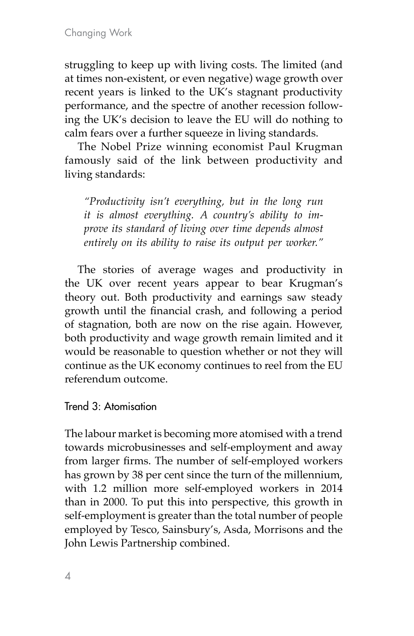struggling to keep up with living costs. The limited (and at times non-existent, or even negative) wage growth over recent years is linked to the UK's stagnant productivity performance, and the spectre of another recession following the UK's decision to leave the EU will do nothing to calm fears over a further squeeze in living standards.

The Nobel Prize winning economist Paul Krugman famously said of the link between productivity and living standards:

*"Productivity isn't everything, but in the long run it is almost everything. A country's ability to improve its standard of living over time depends almost entirely on its ability to raise its output per worker."* 

The stories of average wages and productivity in the UK over recent years appear to bear Krugman's theory out. Both productivity and earnings saw steady growth until the financial crash, and following a period of stagnation, both are now on the rise again. However, both productivity and wage growth remain limited and it would be reasonable to question whether or not they will continue as the UK economy continues to reel from the EU referendum outcome.

### Trend 3: Atomisation

The labour market is becoming more atomised with a trend towards microbusinesses and self-employment and away from larger firms. The number of self-employed workers has grown by 38 per cent since the turn of the millennium, with 1.2 million more self-employed workers in 2014 than in 2000. To put this into perspective, this growth in self-employment is greater than the total number of people employed by Tesco, Sainsbury's, Asda, Morrisons and the John Lewis Partnership combined.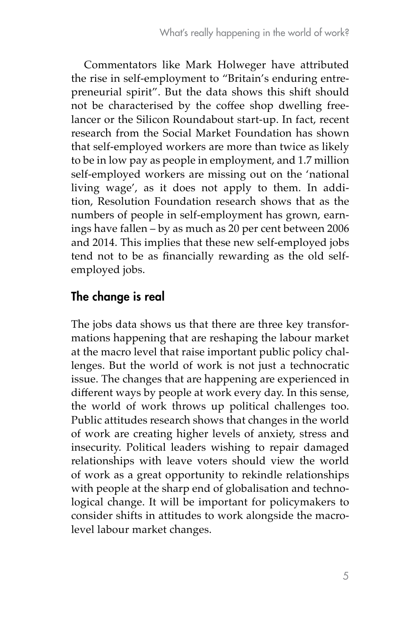Commentators like Mark Holweger have attributed the rise in self-employment to "Britain's enduring entrepreneurial spirit". But the data shows this shift should not be characterised by the coffee shop dwelling freelancer or the Silicon Roundabout start-up. In fact, recent research from the Social Market Foundation has shown that self-employed workers are more than twice as likely to be in low pay as people in employment, and 1.7 million self-employed workers are missing out on the 'national living wage', as it does not apply to them. In addition, Resolution Foundation research shows that as the numbers of people in self-employment has grown, earnings have fallen – by as much as 20 per cent between 2006 and 2014. This implies that these new self-employed jobs tend not to be as financially rewarding as the old selfemployed jobs.

## The change is real

The jobs data shows us that there are three key transformations happening that are reshaping the labour market at the macro level that raise important public policy challenges. But the world of work is not just a technocratic issue. The changes that are happening are experienced in different ways by people at work every day. In this sense, the world of work throws up political challenges too. Public attitudes research shows that changes in the world of work are creating higher levels of anxiety, stress and insecurity. Political leaders wishing to repair damaged relationships with leave voters should view the world of work as a great opportunity to rekindle relationships with people at the sharp end of globalisation and technological change. It will be important for policymakers to consider shifts in attitudes to work alongside the macrolevel labour market changes.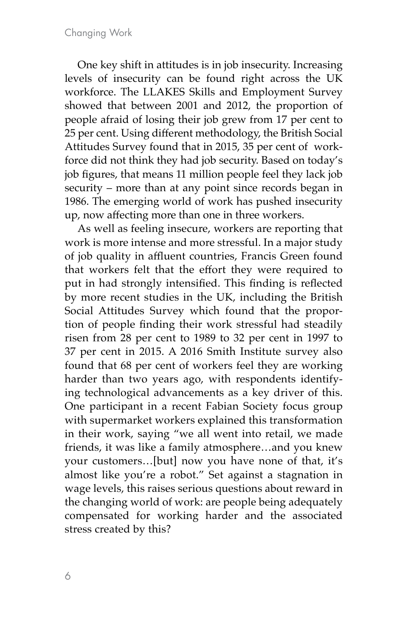#### Changing Work

One key shift in attitudes is in job insecurity. Increasing levels of insecurity can be found right across the UK workforce. The LLAKES Skills and Employment Survey showed that between 2001 and 2012, the proportion of people afraid of losing their job grew from 17 per cent to 25 per cent. Using different methodology, the British Social Attitudes Survey found that in 2015, 35 per cent of workforce did not think they had job security. Based on today's job figures, that means 11 million people feel they lack job security – more than at any point since records began in 1986. The emerging world of work has pushed insecurity up, now affecting more than one in three workers.

As well as feeling insecure, workers are reporting that work is more intense and more stressful. In a major study of job quality in affluent countries, Francis Green found that workers felt that the effort they were required to put in had strongly intensified. This finding is reflected by more recent studies in the UK, including the British Social Attitudes Survey which found that the proportion of people finding their work stressful had steadily risen from 28 per cent to 1989 to 32 per cent in 1997 to 37 per cent in 2015. A 2016 Smith Institute survey also found that 68 per cent of workers feel they are working harder than two years ago, with respondents identifying technological advancements as a key driver of this. One participant in a recent Fabian Society focus group with supermarket workers explained this transformation in their work, saying "we all went into retail, we made friends, it was like a family atmosphere…and you knew your customers…[but] now you have none of that, it's almost like you're a robot." Set against a stagnation in wage levels, this raises serious questions about reward in the changing world of work: are people being adequately compensated for working harder and the associated stress created by this?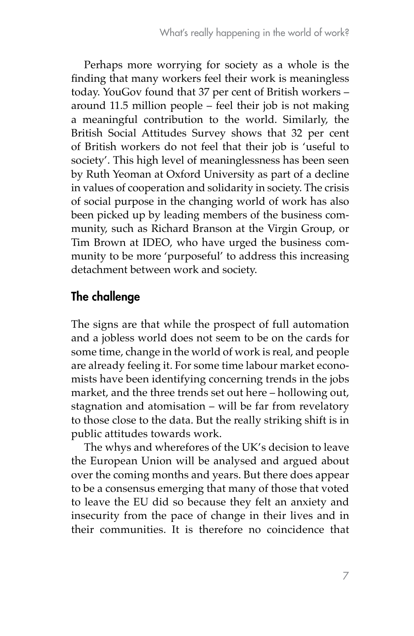Perhaps more worrying for society as a whole is the finding that many workers feel their work is meaningless today. YouGov found that 37 per cent of British workers – around 11.5 million people – feel their job is not making a meaningful contribution to the world. Similarly, the British Social Attitudes Survey shows that 32 per cent of British workers do not feel that their job is 'useful to society'. This high level of meaninglessness has been seen by Ruth Yeoman at Oxford University as part of a decline in values of cooperation and solidarity in society. The crisis of social purpose in the changing world of work has also been picked up by leading members of the business community, such as Richard Branson at the Virgin Group, or Tim Brown at IDEO, who have urged the business community to be more 'purposeful' to address this increasing detachment between work and society.

## The challenge

The signs are that while the prospect of full automation and a jobless world does not seem to be on the cards for some time, change in the world of work is real, and people are already feeling it. For some time labour market economists have been identifying concerning trends in the jobs market, and the three trends set out here – hollowing out, stagnation and atomisation – will be far from revelatory to those close to the data. But the really striking shift is in public attitudes towards work.

The whys and wherefores of the UK's decision to leave the European Union will be analysed and argued about over the coming months and years. But there does appear to be a consensus emerging that many of those that voted to leave the EU did so because they felt an anxiety and insecurity from the pace of change in their lives and in their communities. It is therefore no coincidence that